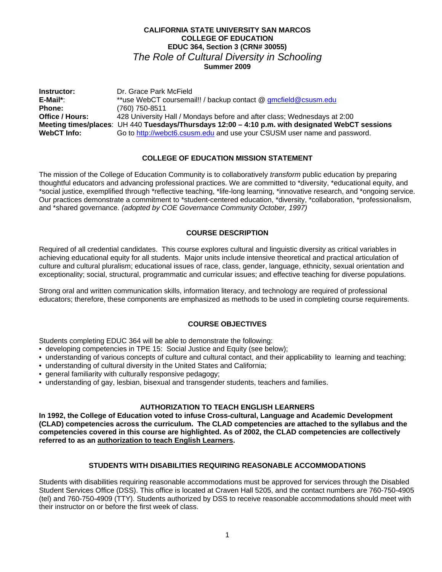## **CALIFORNIA STATE UNIVERSITY SAN MARCOS COLLEGE OF EDUCATION EDUC 364, Section 3 (CRN# 30055)**  *The Role of Cultural Diversity in Schooling*  **Summer 2009**

**Office / Hours: WebCT** Info: **Instructor:** Dr. Grace Park McField E-Mail\*: \*\*use WebCT coursemail!! / backup contact @ gmcfield@csusm.edu<br>Phone: (760) 750-8511 **Phone:** (760) 750-8511 **Office / Hours:** 428 University Hall / Mondays before and after class; Wednesdays at 2:00 **Meeting times/places**: UH 440 **Tuesdays/Thursdays 12:00 – 4:10 p.m. with designated WebCT sessions**  Go to http://webct6.csusm.edu and use your CSUSM user name and password.

## **COLLEGE OF EDUCATION MISSION STATEMENT**

The mission of the College of Education Community is to collaboratively *transform* public education by preparing thoughtful educators and advancing professional practices. We are committed to \*diversity, \*educational equity, and \*social justice, exemplified through \*reflective teaching, \*life-long learning, \*innovative research, and \*ongoing service. Our practices demonstrate a commitment to \*student-centered education, \*diversity, \*collaboration, \*professionalism, and \*shared governance. *(adopted by COE Governance Community October, 1997)* 

## **COURSE DESCRIPTION**

Required of all credential candidates. This course explores cultural and linguistic diversity as critical variables in achieving educational equity for all students. Major units include intensive theoretical and practical articulation of culture and cultural pluralism; educational issues of race, class, gender, language, ethnicity, sexual orientation and exceptionality; social, structural, programmatic and curricular issues; and effective teaching for diverse populations.

Strong oral and written communication skills, information literacy, and technology are required of professional educators; therefore, these components are emphasized as methods to be used in completing course requirements.

## **COURSE OBJECTIVES**

Students completing EDUC 364 will be able to demonstrate the following:

- developing competencies in TPE 15: Social Justice and Equity (see below);
- understanding of various concepts of culture and cultural contact, and their applicability to learning and teaching;
- understanding of cultural diversity in the United States and California;
- general familiarity with culturally responsive pedagogy;
- understanding of gay, lesbian, bisexual and transgender students, teachers and families.

## **AUTHORIZATION TO TEACH ENGLISH LEARNERS**

**In 1992, the College of Education voted to infuse Cross-cultural, Language and Academic Development (CLAD) competencies across the curriculum. The CLAD competencies are attached to the syllabus and the competencies covered in this course are highlighted. As of 2002, the CLAD competencies are collectively referred to as an authorization to teach English Learners.** 

## **STUDENTS WITH DISABILITIES REQUIRING REASONABLE ACCOMMODATIONS**

Students with disabilities requiring reasonable accommodations must be approved for services through the Disabled Student Services Office (DSS). This office is located at Craven Hall 5205, and the contact numbers are 760-750-4905 (tel) and 760-750-4909 (TTY). Students authorized by DSS to receive reasonable accommodations should meet with their instructor on or before the first week of class.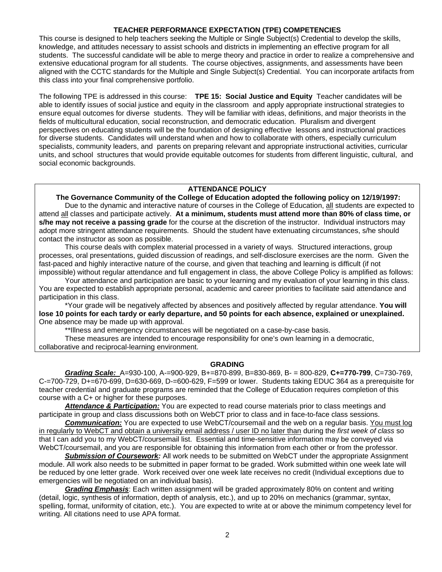## **TEACHER PERFORMANCE EXPECTATION (TPE) COMPETENCIES**

This course is designed to help teachers seeking the Multiple or Single Subject(s) Credential to develop the skills, knowledge, and attitudes necessary to assist schools and districts in implementing an effective program for all students. The successful candidate will be able to merge theory and practice in order to realize a comprehensive and extensive educational program for all students. The course objectives, assignments, and assessments have been aligned with the CCTC standards for the Multiple and Single Subject(s) Credential. You can incorporate artifacts from this class into your final comprehensive portfolio.

The following TPE is addressed in this course: **TPE 15: Social Justice and Equity** Teacher candidates will be able to identify issues of social justice and equity in the classroom and apply appropriate instructional strategies to ensure equal outcomes for diverse students. They will be familiar with ideas, definitions, and major theorists in the fields of multicultural education, social reconstruction, and democratic education. Pluralism and divergent perspectives on educating students will be the foundation of designing effective lessons and instructional practices for diverse students. Candidates will understand when and how to collaborate with others, especially curriculum specialists, community leaders, and parents on preparing relevant and appropriate instructional activities, curricular units, and school structures that would provide equitable outcomes for students from different linguistic, cultural, and social economic backgrounds.

## **ATTENDANCE POLICY**

 **The Governance Community of the College of Education adopted the following policy on 12/19/1997:**  Due to the dynamic and interactive nature of courses in the College of Education, all students are expected to attend all classes and participate actively. **At a minimum, students must attend more than 80% of class time, or s/he may not receive a passing grade** for the course at the discretion of the instructor. Individual instructors may adopt more stringent attendance requirements. Should the student have extenuating circumstances, s/he should contact the instructor as soon as possible.

This course deals with complex material processed in a variety of ways. Structured interactions, group processes, oral presentations, guided discussion of readings, and self-disclosure exercises are the norm. Given the fast-paced and highly interactive nature of the course, and given that teaching and learning is difficult (if not impossible) without regular attendance and full engagement in class, the above College Policy is amplified as follows:

Your attendance and participation are basic to your learning and my evaluation of your learning in this class. You are expected to establish appropriate personal, academic and career priorities to facilitate said attendance and participation in this class.

\*Your grade will be negatively affected by absences and positively affected by regular attendance. **You will lose 10 points for each tardy or early departure, and 50 points for each absence, explained or unexplained.**  One absence may be made up with approval.

\*\*Illness and emergency circumstances will be negotiated on a case-by-case basis.

These measures are intended to encourage responsibility for one's own learning in a democratic, collaborative and reciprocal-learning environment.

## **GRADING**

*Grading Scale:* A=930-100, A-=900-929, B+=870-899, B=830-869, B- = 800-829, **C+=770-799**, C=730-769, C-=700-729, D+=670-699, D=630-669, D-=600-629, F=599 or lower. Students taking EDUC 364 as a prerequisite for teacher credential and graduate programs are reminded that the College of Education requires completion of this course with a C+ or higher for these purposes.

*Attendance & Participation:* You are expected to read course materials prior to class meetings and participate in group and class discussions both on WebCT prior to class and in face-to-face class sessions.

*Communication:* You are expected to use WebCT/coursemail and the web on a regular basis. You must log in regularly to WebCT and obtain a university email address / user ID no later than during the *first week of class* so that I can add you to my WebCT/coursemail list. Essential and time-sensitive information may be conveyed via WebCT/coursemail, and you are responsible for obtaining this information from each other or from the professor.

*Submission of Coursework:* All work needs to be submitted on WebCT under the appropriate Assignment module. All work also needs to be submitted in paper format to be graded. Work submitted within one week late will be reduced by one letter grade. Work received over one week late receives no credit (Individual exceptions due to emergencies will be negotiated on an individual basis).

*Grading Emphasis*: Each written assignment will be graded approximately 80% on content and writing (detail, logic, synthesis of information, depth of analysis, etc.), and up to 20% on mechanics (grammar, syntax, spelling, format, uniformity of citation, etc.). You are expected to write at or above the minimum competency level for writing. All citations need to use APA format.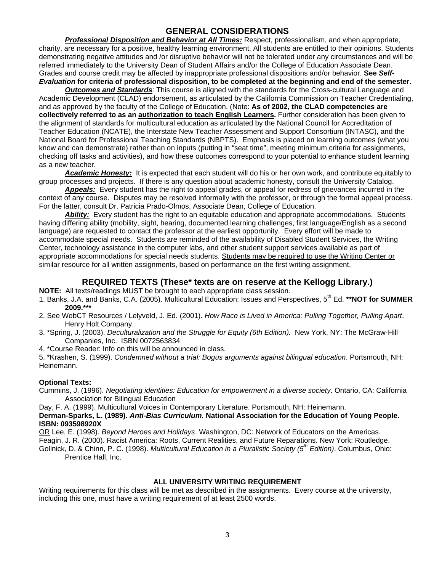# **GENERAL CONSIDERATIONS**

*Professional Disposition and Behavior at All Times:* Respect, professionalism, and when appropriate, charity, are necessary for a positive, healthy learning environment. All students are entitled to their opinions. Students demonstrating negative attitudes and /or disruptive behavior will not be tolerated under any circumstances and will be referred immediately to the University Dean of Student Affairs and/or the College of Education Associate Dean. Grades and course credit may be affected by inappropriate professional dispositions and/or behavior. **See** *Self-Evaluation* **for criteria of professional disposition, to be completed at the beginning and end of the semester.** 

*Outcomes and Standards:* This course is aligned with the standards for the Cross-cultural Language and Academic Development (CLAD) endorsement, as articulated by the California Commission on Teacher Credentialing, and as approved by the faculty of the College of Education. (Note: **As of 2002, the CLAD competencies are collectively referred to as an authorization to teach English Learners.** Further consideration has been given to the alignment of standards for multicultural education as articulated by the National Council for Accreditation of Teacher Education (NCATE), the Interstate New Teacher Assessment and Support Consortium (INTASC), and the National Board for Professional Teaching Standards (NBPTS). Emphasis is placed on learning outcomes (what you know and can demonstrate) rather than on inputs (putting in "seat time", meeting minimum criteria for assignments, checking off tasks and activities), and how these outcomes correspond to your potential to enhance student learning as a new teacher.

*Academic Honesty:* It is expected that each student will do his or her own work, and contribute equitably to group processes and projects. If there is any question about academic honesty, consult the University Catalog.

*Appeals:* Every student has the right to appeal grades, or appeal for redress of grievances incurred in the context of any course. Disputes may be resolved informally with the professor, or through the formal appeal process. For the latter, consult Dr. Patricia Prado-Olmos, Associate Dean, College of Education.

*Ability:* Every student has the right to an equitable education and appropriate accommodations. Students having differing ability (mobility, sight, hearing, documented learning challenges, first language/English as a second language) are requested to contact the professor at the earliest opportunity. Every effort will be made to accommodate special needs. Students are reminded of the availability of Disabled Student Services, the Writing Center, technology assistance in the computer labs, and other student support services available as part of appropriate accommodations for special needs students. Students may be required to use the Writing Center or similar resource for all written assignments, based on performance on the first writing assignment.

## **REQUIRED TEXTS (These\* texts are on reserve at the Kellogg Library.)**

**NOTE:** All texts/readings MUST be brought to each appropriate class session.

- 1. Banks, J.A. and Banks, C.A. (2005). Multicultural Education: Issues and Perspectives, 5th Ed. **\*\*NOT for SUMMER 2009.\*\*\***
- 2. See WebCT Resources / Lelyveld, J. Ed. (2001). *How Race is Lived in America: Pulling Together, Pulling Apart*. Henry Holt Company.
- 3. \*Spring, J. (2003). *Deculturalization and the Struggle for Equity (6th Edition).* New York, NY: The McGraw-Hill Companies, Inc. ISBN 0072563834
- 4. \*Course Reader: Info on this will be announced in class.

5. \*Krashen, S. (1999). *Condemned without a trial: Bogus arguments against bilingual education*. Portsmouth, NH: Heinemann.

## **Optional Texts:**

Cummins, J. (1996). *Negotiating identities: Education for empowerment in a diverse society*. Ontario, CA: California Association for Bilingual Education

Day, F. A. (1999). Multicultural Voices in Contemporary Literature. Portsmouth, NH: Heinemann.

## **Derman-Sparks, L. (1989).** *Anti-Bias Curriculum.* **National Association for the Education of Young People. ISBN: 093598920X**

OR Lee, E. (1998). *Beyond Heroes and Holidays*. Washington, DC: Network of Educators on the Americas.

Feagin, J. R. (2000). Racist America: Roots, Current Realities, and Future Reparations. New York: Routledge. Gollnick, D. & Chinn, P. C. (1998). *Multicultural Education in a Pluralistic Society (5th Edition)*. Columbus, Ohio: Prentice Hall, Inc.

## **ALL UNIVERSITY WRITING REQUIREMENT**

Writing requirements for this class will be met as described in the assignments. Every course at the university, including this one, must have a writing requirement of at least 2500 words.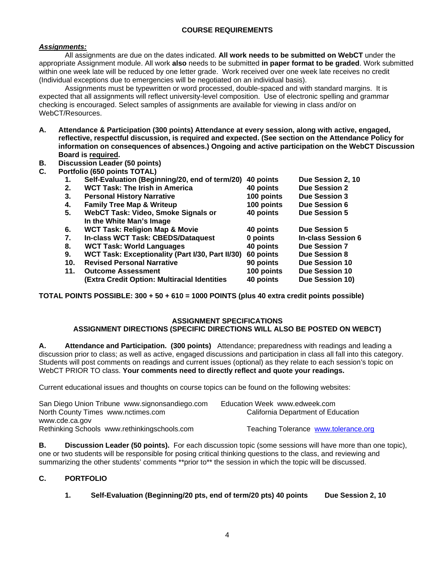## **COURSE REQUIREMENTS**

## *Assignments:*

All assignments are due on the dates indicated. **All work needs to be submitted on WebCT** under the appropriate Assignment module. All work **also** needs to be submitted **in paper format to be graded**. Work submitted within one week late will be reduced by one letter grade. Work received over one week late receives no credit (Individual exceptions due to emergencies will be negotiated on an individual basis).

Assignments must be typewritten or word processed, double-spaced and with standard margins. It is expected that all assignments will reflect university-level composition. Use of electronic spelling and grammar checking is encouraged. Select samples of assignments are available for viewing in class and/or on WebCT/Resources.

- **A. Attendance & Participation (300 points) Attendance at every session, along with active, engaged, reflective, respectful discussion, is required and expected. (See section on the Attendance Policy for information on consequences of absences.) Ongoing and active participation on the WebCT Discussion Board is required.**
- **B. Discussion Leader (50 points)**
- **C. Portfolio (650 points TOTAL)**

| $\mathbf{1}$ . | Self-Evaluation (Beginning/20, end of term/20)   | 40 points  | Due Session 2, 10         |
|----------------|--------------------------------------------------|------------|---------------------------|
| 2.             | <b>WCT Task: The Irish in America</b>            | 40 points  | <b>Due Session 2</b>      |
| 3.             | <b>Personal History Narrative</b>                | 100 points | Due Session 3             |
| 4.             | <b>Family Tree Map &amp; Writeup</b>             | 100 points | <b>Due Session 6</b>      |
| 5.             | WebCT Task: Video, Smoke Signals or              | 40 points  | <b>Due Session 5</b>      |
|                | In the White Man's Image                         |            |                           |
| 6.             | <b>WCT Task: Religion Map &amp; Movie</b>        | 40 points  | <b>Due Session 5</b>      |
| 7.             | In-class WCT Task: CBEDS/Dataquest               | 0 points   | <b>In-class Session 6</b> |
| 8.             | <b>WCT Task: World Languages</b>                 | 40 points  | <b>Due Session 7</b>      |
| 9.             | WCT Task: Exceptionality (Part I/30, Part II/30) | 60 points  | <b>Due Session 8</b>      |
| 10.            | <b>Revised Personal Narrative</b>                | 90 points  | <b>Due Session 10</b>     |
| 11.            | <b>Outcome Assessment</b>                        | 100 points | <b>Due Session 10</b>     |
|                | (Extra Credit Option: Multiracial Identities     | 40 points  | Due Session 10)           |
|                |                                                  |            |                           |

**TOTAL POINTS POSSIBLE: 300 + 50 + 610 = 1000 POINTS (plus 40 extra credit points possible)** 

# **ASSIGNMENT SPECIFICATIONS**

## **ASSIGNMENT DIRECTIONS (SPECIFIC DIRECTIONS WILL ALSO BE POSTED ON WEBCT)**

 WebCT PRIOR TO class. **Your comments need to directly reflect and quote your readings. A. Attendance and Participation. (300 points)** Attendance; preparedness with readings and leading a discussion prior to class; as well as active, engaged discussions and participation in class all fall into this category. Students will post comments on readings and current issues (optional) as they relate to each session's topic on

Current educational issues and thoughts on course topics can be found on the following websites:

| San Diego Union Tribune www.signonsandiego.com<br>North County Times www.nctimes.com | Education Week www.edweek.com<br>California Department of Education |
|--------------------------------------------------------------------------------------|---------------------------------------------------------------------|
| www.cde.ca.gov                                                                       |                                                                     |
| Rethinking Schools www.rethinkingschools.com                                         | Teaching Tolerance www.tolerance.org                                |

 summarizing the other students' comments \*\*prior to\*\* the session in which the topic will be discussed. **B. Discussion Leader (50 points).** For each discussion topic (some sessions will have more than one topic), one or two students will be responsible for posing critical thinking questions to the class, and reviewing and

## **C. PORTFOLIO**

**1. Self-Evaluation (Beginning/20 pts, end of term/20 pts) 40 points Due Session 2, 10**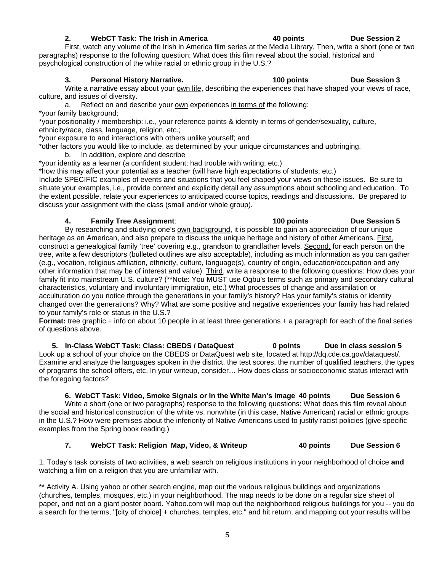## 2. WebCT Task: The Irish in America 40 points Due Session 2

First, watch any volume of the Irish in America film series at the Media Library. Then, write a short (one or two paragraphs) response to the following question: What does this film reveal about the social, historical and psychological construction of the white racial or ethnic group in the U.S.?

## **3. Personal History Narrative. 100 points Due Session 3**

Write a narrative essay about your own life, describing the experiences that have shaped your views of race, culture, and issues of diversity.

a. Reflect on and describe your own experiences in terms of the following:

\*your family background;

\*your positionality / membership: i.e., your reference points & identity in terms of gender/sexuality, culture, ethnicity/race, class, language, religion, etc.;

\*your exposure to and interactions with others unlike yourself; and

\*other factors you would like to include, as determined by your unique circumstances and upbringing.

b. In addition, explore and describe

\*your identity as a learner (a confident student; had trouble with writing; etc.)

\*how this may affect your potential as a teacher (will have high expectations of students; etc.)

 discuss your assignment with the class (small and/or whole group). Include SPECIFIC examples of events and situations that you feel shaped your views on these issues. Be sure to situate your examples, i.e., provide context and explicitly detail any assumptions about schooling and education. To the extent possible, relate your experiences to anticipated course topics, readings and discussions. Be prepared to

## **4. Family Tree Assignment**: **100 points Due Session 5**

## 100 points

By researching and studying one's own background, it is possible to gain an appreciation of our unique heritage as an American, and also prepare to discuss the unique heritage and history of other Americans. First, construct a genealogical family 'tree' covering e.g., grandson to grandfather levels. Second, for each person on the tree, write a few descriptors (bulleted outlines are also acceptable), including as much information as you can gather (e.g., vocation, religious affiliation, ethnicity, culture, language(s), country of origin, education/occupation and any other information that may be of interest and value). Third, write a response to the following questions: How does your family fit into mainstream U.S. culture? (\*\*Note: You MUST use Ogbu's terms such as primary and secondary cultural characteristics, voluntary and involuntary immigration, etc.) What processes of change and assimilation or acculturation do you notice through the generations in your family's history? Has your family's status or identity changed over the generations? Why? What are some positive and negative experiences your family has had related to your family's role or status in the U.S.?

**Format:** tree graphic + info on about 10 people in at least three generations + a paragraph for each of the final series of questions above.

 **5. In-Class WebCT Task: Class: CBEDS / DataQuest 0 points Due in class session 5**  Look up a school of your choice on the CBEDS or DataQuest web site, located at http://dq.cde.ca.gov/dataquest/. Examine and analyze the languages spoken in the district, the test scores, the number of qualified teachers, the types of programs the school offers, etc. In your writeup, consider… How does class or socioeconomic status interact with the foregoing factors?

## **6. WebCT Task: Video, Smoke Signals or In the White Man's Image 40 points Due Session 6**

Write a short (one or two paragraphs) response to the following questions: What does this film reveal about the social and historical construction of the white vs. nonwhite (in this case, Native American) racial or ethnic groups in the U.S.? How were premises about the inferiority of Native Americans used to justify racist policies (give specific examples from the Spring book reading.)

## **7. WebCT Task: Religion Map, Video, & Writeup 40 points Due Session 6**

1. Today's task consists of two activities, a web search on religious institutions in your neighborhood of choice **and**  watching a film on a religion that you are unfamiliar with.

\*\* Activity A. Using yahoo or other search engine, map out the various religious buildings and organizations (churches, temples, mosques, etc.) in your neighborhood. The map needs to be done on a regular size sheet of paper, and not on a giant poster board. Yahoo.com will map out the neighborhood religious buildings for you -- you do a search for the terms, "[city of choice] + churches, temples, etc." and hit return, and mapping out your results will be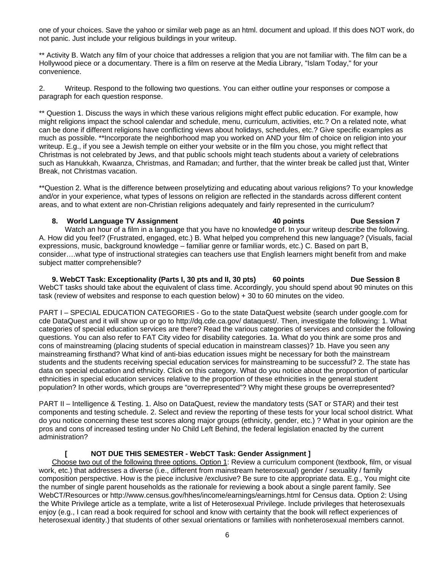one of your choices. Save the yahoo or similar web page as an html. document and upload. If this does NOT work, do not panic. Just include your religious buildings in your writeup.

convenience. \*\* Activity B. Watch any film of your choice that addresses a religion that you are not familiar with. The film can be a Hollywood piece or a documentary. There is a film on reserve at the Media Library, "Islam Today," for your

2. Writeup. Respond to the following two questions. You can either outline your responses or compose a paragraph for each question response.

\*\* Question 1. Discuss the ways in which these various religions might effect public education. For example, how might religions impact the school calendar and schedule, menu, curriculum, activities, etc.? On a related note, what can be done if different religions have conflicting views about holidays, schedules, etc.? Give specific examples as much as possible. \*\*Incorporate the neighborhood map you worked on AND your film of choice on religion into your writeup. E.g., if you see a Jewish temple on either your website or in the film you chose, you might reflect that Christmas is not celebrated by Jews, and that public schools might teach students about a variety of celebrations such as Hanukkah, Kwaanza, Christmas, and Ramadan; and further, that the winter break be called just that, Winter Break, not Christmas vacation.

\*\*Question 2. What is the difference between proselytizing and educating about various religions? To your knowledge and/or in your experience, what types of lessons on religion are reflected in the standards across different content areas, and to what extent are non-Christian religions adequately and fairly represented in the curriculum?

## 8. World Language TV Assignment **1988 10 and 10 and 40 points Due Session 7**

Watch an hour of a film in a language that you have no knowledge of. In your writeup describe the following. A. How did you feel? (Frustrated, engaged, etc.) B. What helped you comprehend this new language? (Visuals, facial expressions, music, background knowledge – familiar genre or familiar words, etc.) C. Based on part B, consider….what type of instructional strategies can teachers use that English learners might benefit from and make subject matter comprehensible?

**9. WebCT Task: Exceptionality (Parts I, 30 pts and II, 30 pts) 60 points Due Session 8** WebCT tasks should take about the equivalent of class time. Accordingly, you should spend about 90 minutes on this task (review of websites and response to each question below) + 30 to 60 minutes on the video.

PART I – SPECIAL EDUCATION CATEGORIES - Go to the state DataQuest website (search under google.com for cde DataQuest and it will show up or go to http://dq.cde.ca.gov/ dataquest/. Then, investigate the following: 1. What categories of special education services are there? Read the various categories of services and consider the following questions. You can also refer to FAT City video for disability categories. 1a. What do you think are some pros and cons of mainstreaming (placing students of special education in mainstream classes)? 1b. Have you seen any mainstreaming firsthand? What kind of anti-bias education issues might be necessary for both the mainstream students and the students receiving special education services for mainstreaming to be successful? 2. The state has data on special education and ethnicity. Click on this category. What do you notice about the proportion of particular ethnicities in special education services relative to the proportion of these ethnicities in the general student population? In other words, which groups are "overrepresented"? Why might these groups be overrepresented?

PART II – Intelligence & Testing. 1. Also on DataQuest, review the mandatory tests (SAT or STAR) and their test components and testing schedule. 2. Select and review the reporting of these tests for your local school district. What do you notice concerning these test scores along major groups (ethnicity, gender, etc.) ? What in your opinion are the pros and cons of increased testing under No Child Left Behind, the federal legislation enacted by the current administration?

## **[ NOT DUE THIS SEMESTER - WebCT Task: Gender Assignment ]**

Choose two out of the following three options. Option 1: Review a curriculum component (textbook, film, or visual work, etc.) that addresses a diverse (i.e., different from mainstream heterosexual) gender / sexuality / family composition perspective. How is the piece inclusive /exclusive? Be sure to cite appropriate data. E.g., You might cite the number of single parent households as the rationale for reviewing a book about a single parent family. See WebCT/Resources or http://www.census.gov/hhes/income/earnings/earnings.html for Census data. Option 2: Using the White Privilege article as a template, write a list of Heterosexual Privilege. Include privileges that heterosexuals enjoy (e.g., I can read a book required for school and know with certainty that the book will reflect experiences of heterosexual identity.) that students of other sexual orientations or families with nonheterosexual members cannot.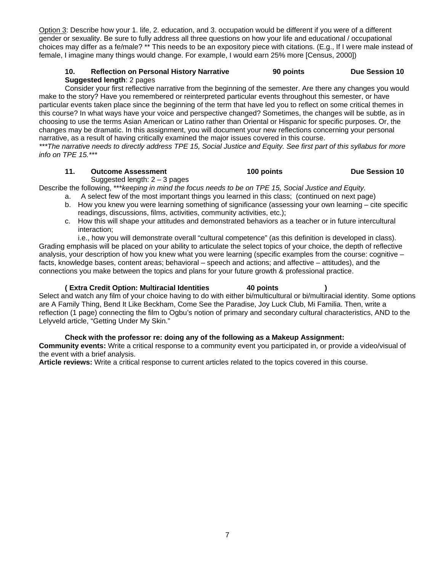Option 3: Describe how your 1. life, 2. education, and 3. occupation would be different if you were of a different gender or sexuality. Be sure to fully address all three questions on how your life and educational / occupational choices may differ as a fe/male? \*\* This needs to be an expository piece with citations. (E.g., If I were male instead of female, I imagine many things would change. For example, I would earn 25% more [Census, 2000])

## 10. Reflection on Personal History Narrative 90 points Due Session 10 **Suggested length**: 2 pages

Consider your first reflective narrative from the beginning of the semester. Are there any changes you would make to the story? Have you remembered or reinterpreted particular events throughout this semester, or have particular events taken place since the beginning of the term that have led you to reflect on some critical themes in this course? In what ways have your voice and perspective changed? Sometimes, the changes will be subtle, as in choosing to use the terms Asian American or Latino rather than Oriental or Hispanic for specific purposes. Or, the changes may be dramatic. In this assignment, you will document your new reflections concerning your personal narrative, as a result of having critically examined the major issues covered in this course.

*\*\*\*The narrative needs to directly address TPE 15, Social Justice and Equity. See first part of this syllabus for more info on TPE 15.\*\*\** 

## **11. Outcome Assessment 100 points Due Session 10**

Suggested length:  $2 - 3$  pages

Describe the following, \*\*\**keeping in mind the focus needs to be on TPE 15, Social Justice and Equity.* 

- a. A select few of the most important things you learned in this class; (continued on next page)
- b. How you knew you were learning something of significance (assessing your own learning cite specific readings, discussions, films, activities, community activities, etc.);
- c. How this will shape your attitudes and demonstrated behaviors as a teacher or in future intercultural interaction;

i.e., how you will demonstrate overall "cultural competence" (as this definition is developed in class). Grading emphasis will be placed on your ability to articulate the select topics of your choice, the depth of reflective analysis, your description of how you knew what you were learning (specific examples from the course: cognitive – facts, knowledge bases, content areas; behavioral – speech and actions; and affective – attitudes), and the connections you make between the topics and plans for your future growth & professional practice.

## **( Extra Credit Option: Multiracial Identities 40 points )**

Select and watch any film of your choice having to do with either bi/multicultural or bi/multiracial identity. Some options are A Family Thing, Bend It Like Beckham, Come See the Paradise, Joy Luck Club, Mi Familia. Then, write a reflection (1 page) connecting the film to Ogbu's notion of primary and secondary cultural characteristics, AND to the Lelyveld article, "Getting Under My Skin."

## **Check with the professor re: doing any of the following as a Makeup Assignment:**

**Community events:** Write a critical response to a community event you participated in, or provide a video/visual of the event with a brief analysis.

**Article reviews:** Write a critical response to current articles related to the topics covered in this course.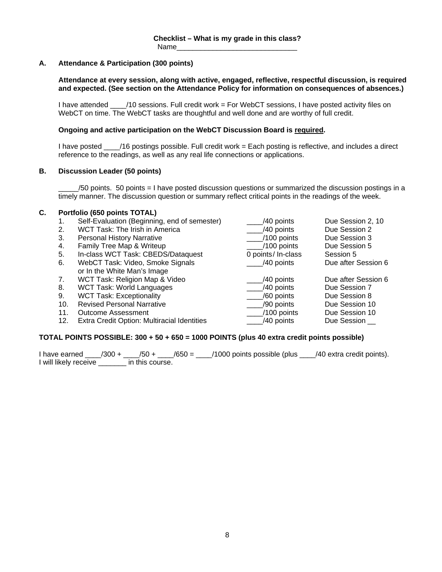## **A. Attendance & Participation (300 points)**

## **Attendance at every session, along with active, engaged, reflective, respectful discussion, is required and expected. (See section on the Attendance Policy for information on consequences of absences.)**

I have attended  $\frac{100}{20}$  /10 sessions. Full credit work = For WebCT sessions, I have posted activity files on WebCT on time. The WebCT tasks are thoughtful and well done and are worthy of full credit.

## **Ongoing and active participation on the WebCT Discussion Board is required.**

I have posted \_\_\_\_/16 postings possible. Full credit work = Each posting is reflective, and includes a direct reference to the readings, as well as any real life connections or applications.

## **B. Discussion Leader (50 points)**

\_\_\_\_\_/50 points. 50 points = I have posted discussion questions or summarized the discussion postings in a timely manner. The discussion question or summary reflect critical points in the readings of the week.

## **C. Portfolio (650 points TOTAL)**

- 1. Self-Evaluation (Beginning, end of semester)
- 
- 3. Personal History Narrative
- 
- 5. In-class WCT Task: CBEDS/Dataquest 0 points/ In-class Session 5
- or In the White Man's Image
- 
- 8. WCT Task: World Languages
- 9. WCT Task: Exceptionality
- 10. Revised Personal Narrative
- 11. Outcome Assessment
- 12. Extra Credit Option: Multiracial Identities

| Self-Evaluation (Beginning, end of semester) | /40 points         | Due Session 2, 10   |
|----------------------------------------------|--------------------|---------------------|
| WCT Task: The Irish in America               | /40 points         | Due Session 2       |
| <b>Personal History Narrative</b>            | /100 points        | Due Session 3       |
| Family Tree Map & Writeup                    | /100 points        | Due Session 5       |
| In-class WCT Task: CBEDS/Dataquest           | 0 points/ In-class | Session 5           |
| WebCT Task: Video, Smoke Signals             | /40 points         | Due after Session 6 |
| or In the White Man's Image                  |                    |                     |
| WCT Task: Religion Map & Video               | /40 points         | Due after Session 6 |
| WCT Task: World Languages                    | /40 points         | Due Session 7       |
| <b>WCT Task: Exceptionality</b>              | /60 points         | Due Session 8       |
| <b>Revised Personal Narrative</b>            | /90 points         | Due Session 10      |
| <b>Outcome Assessment</b>                    | $/100$ points      | Due Session 10      |
| Extra Credit Option: Multiracial Identities  | /40 points         | Due Session         |
|                                              |                    |                     |

## **TOTAL POINTS POSSIBLE: 300 + 50 + 650 = 1000 POINTS (plus 40 extra credit points possible)**

I have earned  $\frac{1}{300}$  +  $\frac{1}{50}$  +  $\frac{1}{650}$  =  $\frac{1}{1000}$  points possible (plus  $\frac{1}{40}$  extra credit points). I will likely receive \_\_\_\_\_\_\_ in this course.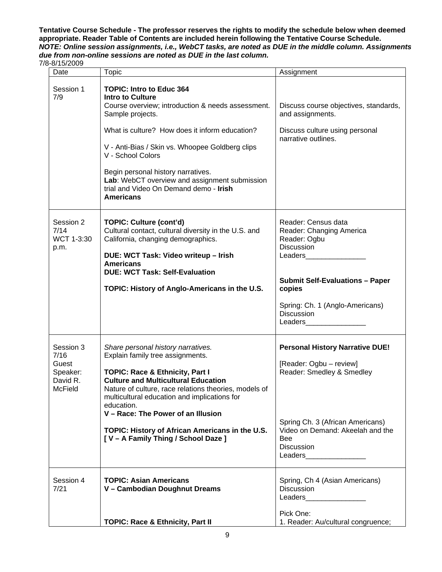**appropriate. Reader Table of Contents are included herein following the Tentative Course Schedule. Tentative Course Schedule - The professor reserves the rights to modify the schedule below when deemed**  *NOTE: Online session assignments, i.e., WebCT tasks, are noted as DUE in the middle column. Assignments due from non-online sessions are noted as DUE in the last column.* 

7/8-8/15/2009

| Date                                                                 | <b>Topic</b>                                                                                                                                                                                                                                                                                                                                                                                                              | Assignment                                                                                                                                                                                                                                                                                                                                                                                                                            |
|----------------------------------------------------------------------|---------------------------------------------------------------------------------------------------------------------------------------------------------------------------------------------------------------------------------------------------------------------------------------------------------------------------------------------------------------------------------------------------------------------------|---------------------------------------------------------------------------------------------------------------------------------------------------------------------------------------------------------------------------------------------------------------------------------------------------------------------------------------------------------------------------------------------------------------------------------------|
| Session 1<br>7/9                                                     | <b>TOPIC: Intro to Educ 364</b><br><b>Intro to Culture</b><br>Course overview; introduction & needs assessment.<br>Sample projects.<br>What is culture? How does it inform education?<br>V - Anti-Bias / Skin vs. Whoopee Goldberg clips<br>V - School Colors<br>Begin personal history narratives.<br>Lab: WebCT overview and assignment submission<br>trial and Video On Demand demo - <b>Irish</b><br><b>Americans</b> | Discuss course objectives, standards,<br>and assignments.<br>Discuss culture using personal<br>narrative outlines.                                                                                                                                                                                                                                                                                                                    |
| Session 2<br>7/14<br>WCT 1-3:30<br>p.m.                              | <b>TOPIC: Culture (cont'd)</b><br>Cultural contact, cultural diversity in the U.S. and<br>California, changing demographics.<br>DUE: WCT Task: Video writeup - Irish<br><b>Americans</b><br><b>DUE: WCT Task: Self-Evaluation</b><br>TOPIC: History of Anglo-Americans in the U.S.                                                                                                                                        | Reader: Census data<br>Reader: Changing America<br>Reader: Ogbu<br>Discussion<br>Leaders<br><b>Submit Self-Evaluations - Paper</b><br>copies<br>Spring: Ch. 1 (Anglo-Americans)<br>Discussion<br>Leaders                                                                                                                                                                                                                              |
| Session 3<br>7/16<br>Guest<br>Speaker:<br>David R.<br><b>McField</b> | Share personal history narratives.<br>Explain family tree assignments.<br><b>TOPIC: Race &amp; Ethnicity, Part I</b><br><b>Culture and Multicultural Education</b><br>Nature of culture, race relations theories, models of<br>multicultural education and implications for<br>education.<br>V - Race: The Power of an Illusion<br>TOPIC: History of African Americans in the U.S.<br>[V - A Family Thing / School Daze ] | <b>Personal History Narrative DUE!</b><br>[Reader: Ogbu - review]<br>Reader: Smedley & Smedley<br>Spring Ch. 3 (African Americans)<br>Video on Demand: Akeelah and the<br><b>Bee</b><br>Discussion<br>Leaders and the state of the state of the state of the state of the state of the state of the state of the state of the state of the state of the state of the state of the state of the state of the state of the state of the |
| Session 4<br>7/21                                                    | <b>TOPIC: Asian Americans</b><br>V - Cambodian Doughnut Dreams<br><b>TOPIC: Race &amp; Ethnicity, Part II</b>                                                                                                                                                                                                                                                                                                             | Spring, Ch 4 (Asian Americans)<br><b>Discussion</b><br>Leaders and the state of the state of the state of the state of the state of the state of the state of the state of the state of the state of the state of the state of the state of the state of the state of the state of the<br>Pick One:<br>1. Reader: Au/cultural congruence;                                                                                             |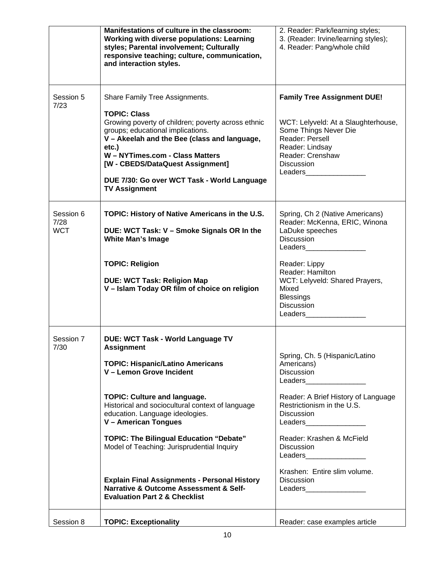|                                 | Manifestations of culture in the classroom:<br><b>Working with diverse populations: Learning</b><br>styles; Parental involvement; Culturally<br>responsive teaching; culture, communication,<br>and interaction styles.                                                                                                                                                                                                                                                                                                                                | 2. Reader: Park/learning styles;<br>3. (Reader: Irvine/learning styles);<br>4. Reader: Pang/whole child                                                                                                                                                                                                                                                                                                                                                                         |
|---------------------------------|--------------------------------------------------------------------------------------------------------------------------------------------------------------------------------------------------------------------------------------------------------------------------------------------------------------------------------------------------------------------------------------------------------------------------------------------------------------------------------------------------------------------------------------------------------|---------------------------------------------------------------------------------------------------------------------------------------------------------------------------------------------------------------------------------------------------------------------------------------------------------------------------------------------------------------------------------------------------------------------------------------------------------------------------------|
| Session 5<br>7/23               | Share Family Tree Assignments.<br><b>TOPIC: Class</b><br>Growing poverty of children; poverty across ethnic<br>groups; educational implications.<br>V - Akeelah and the Bee (class and language,<br>etc.)<br>W - NYTimes.com - Class Matters<br>[W - CBEDS/DataQuest Assignment]<br>DUE 7/30: Go over WCT Task - World Language<br><b>TV Assignment</b>                                                                                                                                                                                                | <b>Family Tree Assignment DUE!</b><br>WCT: Lelyveld: At a Slaughterhouse,<br>Some Things Never Die<br>Reader: Persell<br>Reader: Lindsay<br>Reader: Crenshaw<br>Discussion<br>Leaders                                                                                                                                                                                                                                                                                           |
| Session 6<br>7/28<br><b>WCT</b> | TOPIC: History of Native Americans in the U.S.<br>DUE: WCT Task: V - Smoke Signals OR In the<br><b>White Man's Image</b><br><b>TOPIC: Religion</b><br><b>DUE: WCT Task: Religion Map</b><br>V - Islam Today OR film of choice on religion                                                                                                                                                                                                                                                                                                              | Spring, Ch 2 (Native Americans)<br>Reader: McKenna, ERIC, Winona<br>LaDuke speeches<br>Discussion<br>Leaders______________<br>Reader: Lippy<br>Reader: Hamilton<br>WCT: Lelyveld: Shared Prayers,<br>Mixed<br><b>Blessings</b><br>Discussion<br>Leaders and the state of the state of the state of the state of the state of the state of the state of the state of the state of the state of the state of the state of the state of the state of the state of the state of the |
| Session 7<br>7/30               | <b>DUE: WCT Task - World Language TV</b><br><b>Assignment</b><br><b>TOPIC: Hispanic/Latino Americans</b><br>V - Lemon Grove Incident<br><b>TOPIC: Culture and language.</b><br>Historical and sociocultural context of language<br>education. Language ideologies.<br>V - American Tongues<br><b>TOPIC: The Bilingual Education "Debate"</b><br>Model of Teaching: Jurisprudential Inquiry<br><b>Explain Final Assignments - Personal History</b><br><b>Narrative &amp; Outcome Assessment &amp; Self-</b><br><b>Evaluation Part 2 &amp; Checklist</b> | Spring, Ch. 5 (Hispanic/Latino<br>Americans)<br>Discussion<br>Leaders________________<br>Reader: A Brief History of Language<br>Restrictionism in the U.S.<br><b>Discussion</b><br>Leaders_________________<br>Reader: Krashen & McField<br><b>Discussion</b><br>Krashen: Entire slim volume.<br><b>Discussion</b><br>Leaders__________________                                                                                                                                 |
| Session 8                       | <b>TOPIC: Exceptionality</b>                                                                                                                                                                                                                                                                                                                                                                                                                                                                                                                           | Reader: case examples article                                                                                                                                                                                                                                                                                                                                                                                                                                                   |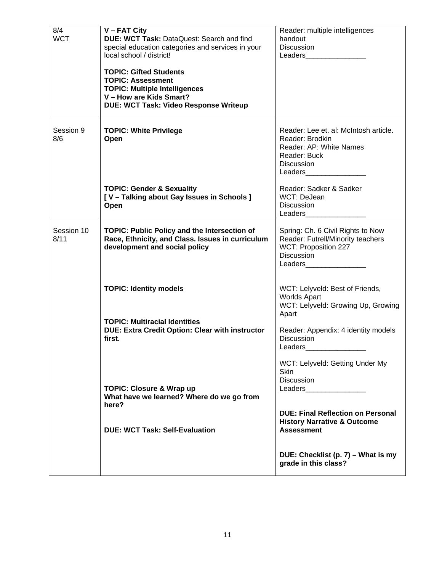| 8/4        | $V$ – FAT City                                    | Reader: multiple intelligences                                                                                                                                                                                                  |
|------------|---------------------------------------------------|---------------------------------------------------------------------------------------------------------------------------------------------------------------------------------------------------------------------------------|
| <b>WCT</b> | DUE: WCT Task: DataQuest: Search and find         | handout                                                                                                                                                                                                                         |
|            | special education categories and services in your | <b>Discussion</b>                                                                                                                                                                                                               |
|            | local school / district!                          | Leaders and the state of the state of the state of the state of the state of the state of the state of the state of the state of the state of the state of the state of the state of the state of the state of the state of the |
|            |                                                   |                                                                                                                                                                                                                                 |
|            | <b>TOPIC: Gifted Students</b>                     |                                                                                                                                                                                                                                 |
|            | <b>TOPIC: Assessment</b>                          |                                                                                                                                                                                                                                 |
|            | <b>TOPIC: Multiple Intelligences</b>              |                                                                                                                                                                                                                                 |
|            | V - How are Kids Smart?                           |                                                                                                                                                                                                                                 |
|            | DUE: WCT Task: Video Response Writeup             |                                                                                                                                                                                                                                 |
|            |                                                   |                                                                                                                                                                                                                                 |
|            |                                                   |                                                                                                                                                                                                                                 |
| Session 9  | <b>TOPIC: White Privilege</b>                     | Reader: Lee et. al: McIntosh article.                                                                                                                                                                                           |
| 8/6        | Open                                              | Reader: Brodkin                                                                                                                                                                                                                 |
|            |                                                   | Reader: AP: White Names                                                                                                                                                                                                         |
|            |                                                   | Reader: Buck                                                                                                                                                                                                                    |
|            |                                                   | <b>Discussion</b>                                                                                                                                                                                                               |
|            |                                                   | Leaders                                                                                                                                                                                                                         |
|            |                                                   |                                                                                                                                                                                                                                 |
|            | <b>TOPIC: Gender &amp; Sexuality</b>              | Reader: Sadker & Sadker                                                                                                                                                                                                         |
|            | [V - Talking about Gay Issues in Schools]         | WCT: DeJean                                                                                                                                                                                                                     |
|            | Open                                              | <b>Discussion</b>                                                                                                                                                                                                               |
|            |                                                   | Leaders                                                                                                                                                                                                                         |
|            |                                                   |                                                                                                                                                                                                                                 |
| Session 10 | TOPIC: Public Policy and the Intersection of      | Spring: Ch. 6 Civil Rights to Now                                                                                                                                                                                               |
| 8/11       | Race, Ethnicity, and Class. Issues in curriculum  | Reader: Futrell/Minority teachers                                                                                                                                                                                               |
|            | development and social policy                     | WCT: Proposition 227                                                                                                                                                                                                            |
|            |                                                   | <b>Discussion</b>                                                                                                                                                                                                               |
|            |                                                   | Leaders and the state of the state of the state of the state of the state of the state of the state of the state of the state of the state of the state of the state of the state of the state of the state of the state of the |
|            |                                                   |                                                                                                                                                                                                                                 |
|            | <b>TOPIC: Identity models</b>                     | WCT: Lelyveld: Best of Friends,                                                                                                                                                                                                 |
|            |                                                   | <b>Worlds Apart</b>                                                                                                                                                                                                             |
|            |                                                   | WCT: Lelyveld: Growing Up, Growing                                                                                                                                                                                              |
|            |                                                   | Apart                                                                                                                                                                                                                           |
|            | <b>TOPIC: Multiracial Identities</b>              |                                                                                                                                                                                                                                 |
|            | DUE: Extra Credit Option: Clear with instructor   | Reader: Appendix: 4 identity models                                                                                                                                                                                             |
|            | first.                                            | <b>Discussion</b>                                                                                                                                                                                                               |
|            |                                                   | Leaders                                                                                                                                                                                                                         |
|            |                                                   |                                                                                                                                                                                                                                 |
|            |                                                   | WCT: Lelyveld: Getting Under My                                                                                                                                                                                                 |
|            |                                                   | <b>Skin</b>                                                                                                                                                                                                                     |
|            |                                                   | <b>Discussion</b>                                                                                                                                                                                                               |
|            | <b>TOPIC: Closure &amp; Wrap up</b>               |                                                                                                                                                                                                                                 |
|            | What have we learned? Where do we go from         |                                                                                                                                                                                                                                 |
|            | here?                                             |                                                                                                                                                                                                                                 |
|            |                                                   | <b>DUE: Final Reflection on Personal</b>                                                                                                                                                                                        |
|            |                                                   | <b>History Narrative &amp; Outcome</b>                                                                                                                                                                                          |
|            | <b>DUE: WCT Task: Self-Evaluation</b>             | <b>Assessment</b>                                                                                                                                                                                                               |
|            |                                                   |                                                                                                                                                                                                                                 |
|            |                                                   |                                                                                                                                                                                                                                 |
|            |                                                   | DUE: Checklist (p. 7) – What is my                                                                                                                                                                                              |
|            |                                                   | grade in this class?                                                                                                                                                                                                            |
|            |                                                   |                                                                                                                                                                                                                                 |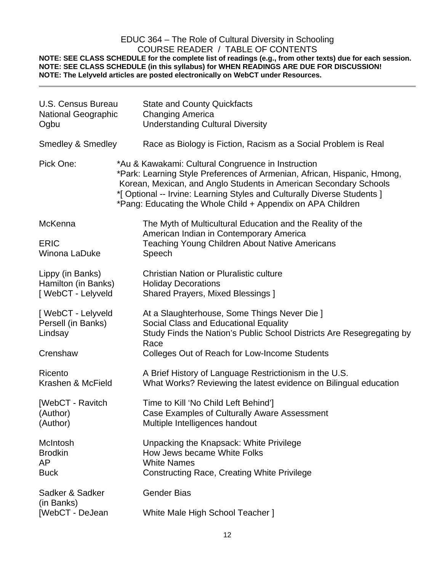# EDUC 364 – The Role of Cultural Diversity in Schooling COURSE READER / TABLE OF CONTENTS

**NOTE: SEE CLASS SCHEDULE for the complete list of readings (e.g., from other texts) due for each session. NOTE: SEE CLASS SCHEDULE (in this syllabus) for WHEN READINGS ARE DUE FOR DISCUSSION! NOTE: The Lelyveld articles are posted electronically on WebCT under Resources.** 

| <b>U.S. Census Bureau</b>                                      | <b>State and County Quickfacts</b>                                                                                                                                                                                                                                                                                                             |  |
|----------------------------------------------------------------|------------------------------------------------------------------------------------------------------------------------------------------------------------------------------------------------------------------------------------------------------------------------------------------------------------------------------------------------|--|
| <b>National Geographic</b>                                     | <b>Changing America</b>                                                                                                                                                                                                                                                                                                                        |  |
| Ogbu                                                           | <b>Understanding Cultural Diversity</b>                                                                                                                                                                                                                                                                                                        |  |
| <b>Smedley &amp; Smedley</b>                                   | Race as Biology is Fiction, Racism as a Social Problem is Real                                                                                                                                                                                                                                                                                 |  |
| Pick One:                                                      | *Au & Kawakami: Cultural Congruence in Instruction<br>*Park: Learning Style Preferences of Armenian, African, Hispanic, Hmong,<br>Korean, Mexican, and Anglo Students in American Secondary Schools<br>*[ Optional -- Irvine: Learning Styles and Culturally Diverse Students ]<br>*Pang: Educating the Whole Child + Appendix on APA Children |  |
| McKenna<br><b>ERIC</b><br>Winona LaDuke                        | The Myth of Multicultural Education and the Reality of the<br>American Indian in Contemporary America<br><b>Teaching Young Children About Native Americans</b><br>Speech                                                                                                                                                                       |  |
| Lippy (in Banks)                                               | <b>Christian Nation or Pluralistic culture</b>                                                                                                                                                                                                                                                                                                 |  |
| Hamilton (in Banks)                                            | <b>Holiday Decorations</b>                                                                                                                                                                                                                                                                                                                     |  |
| [ WebCT - Lelyveld                                             | <b>Shared Prayers, Mixed Blessings ]</b>                                                                                                                                                                                                                                                                                                       |  |
| [WebCT - Lelyveld<br>Persell (in Banks)<br>Lindsay<br>Crenshaw | At a Slaughterhouse, Some Things Never Die ]<br>Social Class and Educational Equality<br>Study Finds the Nation's Public School Districts Are Resegregating by<br>Race<br>Colleges Out of Reach for Low-Income Students                                                                                                                        |  |
| Ricento                                                        | A Brief History of Language Restrictionism in the U.S.                                                                                                                                                                                                                                                                                         |  |
| Krashen & McField                                              | What Works? Reviewing the latest evidence on Bilingual education                                                                                                                                                                                                                                                                               |  |
| [WebCT - Ravitch                                               | Time to Kill 'No Child Left Behind']                                                                                                                                                                                                                                                                                                           |  |
| (Author)                                                       | Case Examples of Culturally Aware Assessment                                                                                                                                                                                                                                                                                                   |  |
| (Author)                                                       | Multiple Intelligences handout                                                                                                                                                                                                                                                                                                                 |  |
| McIntosh                                                       | Unpacking the Knapsack: White Privilege                                                                                                                                                                                                                                                                                                        |  |
| <b>Brodkin</b>                                                 | How Jews became White Folks                                                                                                                                                                                                                                                                                                                    |  |
| AP.                                                            | <b>White Names</b>                                                                                                                                                                                                                                                                                                                             |  |
| <b>Buck</b>                                                    | <b>Constructing Race, Creating White Privilege</b>                                                                                                                                                                                                                                                                                             |  |
| Sadker & Sadker<br>(in Banks)<br>[WebCT - DeJean               | <b>Gender Bias</b><br>White Male High School Teacher 1                                                                                                                                                                                                                                                                                         |  |